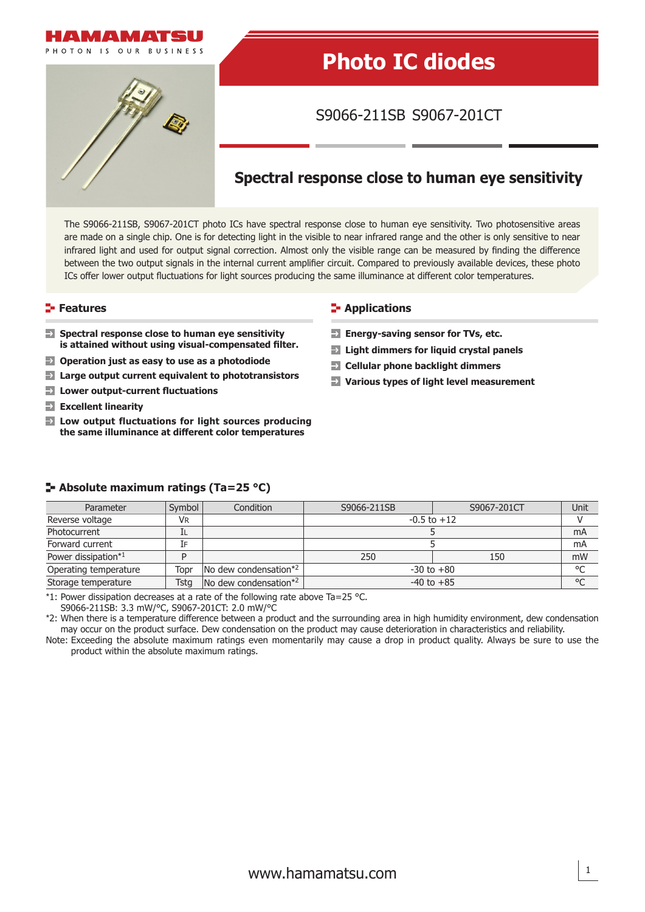

# **Photo IC diodes**

S9066-211SB S9067-201CT

# **Spectral response close to human eye sensitivity**

The S9066-211SB, S9067-201CT photo ICs have spectral response close to human eye sensitivity. Two photosensitive areas are made on a single chip. One is for detecting light in the visible to near infrared range and the other is only sensitive to near infrared light and used for output signal correction. Almost only the visible range can be measured by finding the difference between the two output signals in the internal current amplifier circuit. Compared to previously available devices, these photo ICs offer lower output fluctuations for light sources producing the same illuminance at different color temperatures.

- **Spectral response close to human eye sensitivity is attained without using visual-compensated fi lter.**
- **Operation just as easy to use as a photodiode**
- **Various types of light level measurement Large output current equivalent to phototransistors**
- **Lower output-current fl uctuations**
- **Excellent linearity**
- **Low output fluctuations for light sources producing the same illuminance at diff erent color temperatures**

#### **Features Contractions Contractions**

- **Energy-saving sensor for TVs, etc.**
- **Light dimmers for liquid crystal panels**
- **Cellular phone backlight dimmers**
- 

| Parameter             | Symbol    | Condition                                 | S9066-211SB     | S9067-201CT | Unit    |
|-----------------------|-----------|-------------------------------------------|-----------------|-------------|---------|
| Reverse voltage       | <b>VR</b> |                                           | $-0.5$ to $+12$ |             |         |
| Photocurrent          | ᄔ         |                                           |                 |             | mA      |
| Forward current       | T⊨        |                                           |                 |             | mA      |
| Power dissipation*1   | D         |                                           | 250             | 150         | mW      |
| Operating temperature | Topr      | $\sqrt{N}$ dew condensation <sup>*2</sup> | $-30$ to $+80$  |             | $\circ$ |
| Storage temperature   | Tsta      | No dew condensation*2                     | $-40$ to $+85$  |             | $\circ$ |

#### **Absolute maximum ratings (Ta=25 °C)**

\*1: Power dissipation decreases at a rate of the following rate above Ta=25 °C.

S9066-211SB: 3.3 mW/°C, S9067-201CT: 2.0 mW/°C

\*2: When there is a temperature difference between a product and the surrounding area in high humidity environment, dew condensation may occur on the product surface. Dew condensation on the product may cause deterioration in characteristics and reliability.

Note: Exceeding the absolute maximum ratings even momentarily may cause a drop in product quality. Always be sure to use the product within the absolute maximum ratings.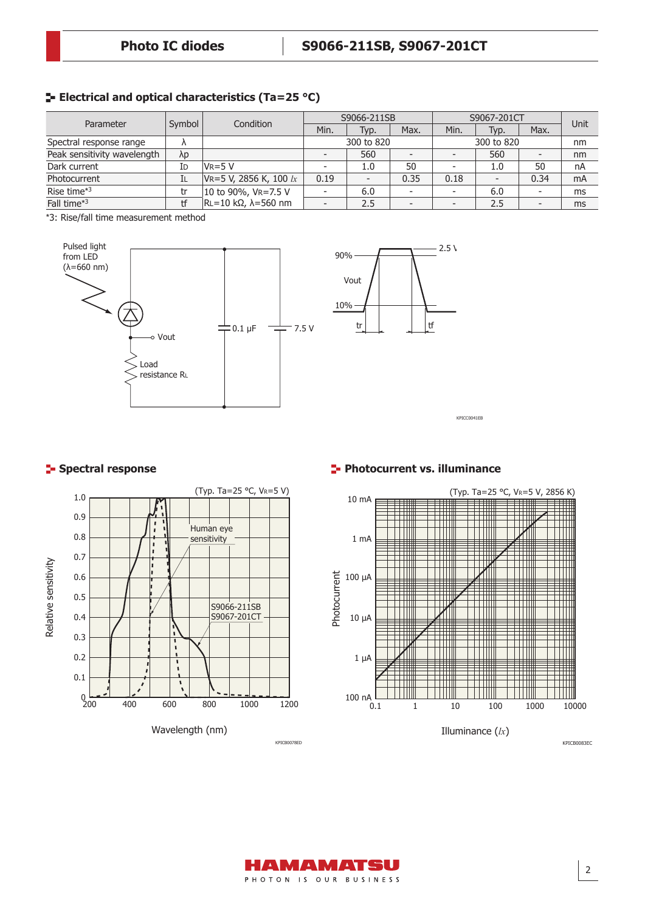# **Electrical and optical characteristics (Ta=25 °C)**

| Parameter                   | Symbol    | Condition                           | S9066-211SB |      |                          | S9067-201CT |      |      | Unit |
|-----------------------------|-----------|-------------------------------------|-------------|------|--------------------------|-------------|------|------|------|
|                             |           |                                     | Min.        | Typ. | Max.                     | Min.        | Typ. | Max. |      |
| Spectral response range     | $\Lambda$ |                                     | 300 to 820  |      | 300 to 820               |             | nm   |      |      |
| Peak sensitivity wavelength | λp        |                                     |             | 560  |                          |             | 560  |      | nm   |
| Dark current                | ΙD        | $V_{R=5} V$                         |             | 1.0  | 50                       |             | 1.0  | 50   | nA   |
| Photocurrent                | ΙL        | VR=5 V, 2856 K, 100 $lx$            | 0.19        |      | 0.35                     | 0.18        |      | 0.34 | mA   |
| Rise time*3                 | tr        | 10 to 90%, VR=7.5 V                 |             | 6.0  | $\overline{\phantom{a}}$ | -           | 6.0  |      | ms   |
| Fall time*3                 | tf        | $\vert$ RL=10 kΩ, $\lambda$ =560 nm |             | 2.5  |                          |             | 2.5  |      | ms   |

\*3: Rise/fall time measurement method





KPICC0041EB



## **Spectral response Photocurrent vs. illuminance**



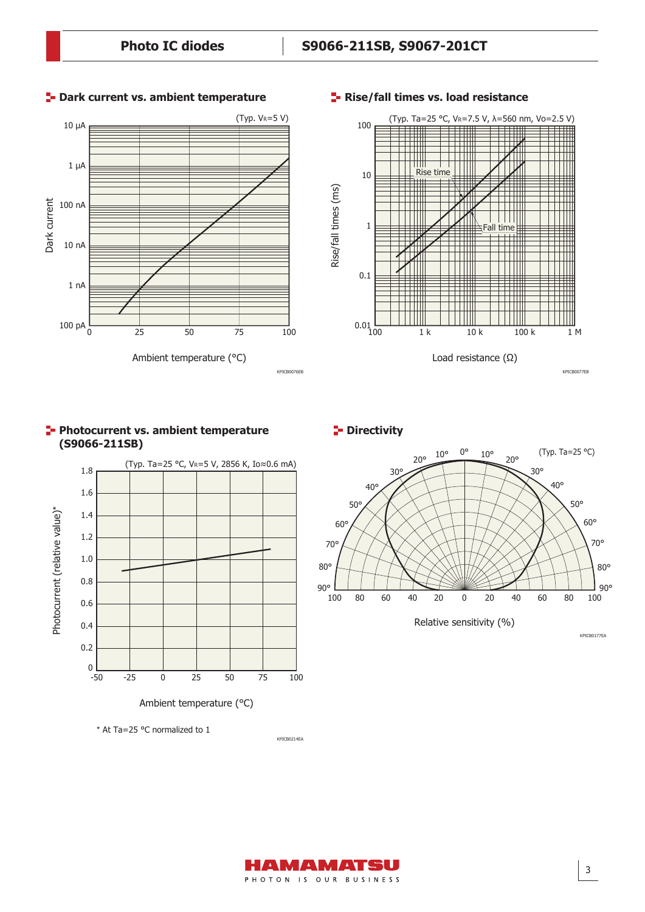

#### **P**- Dark current vs. ambient temperature



#### **Rise/fall times vs. load resistance**









\* At Ta=25 °C normalized to 1

KPICB0214EA

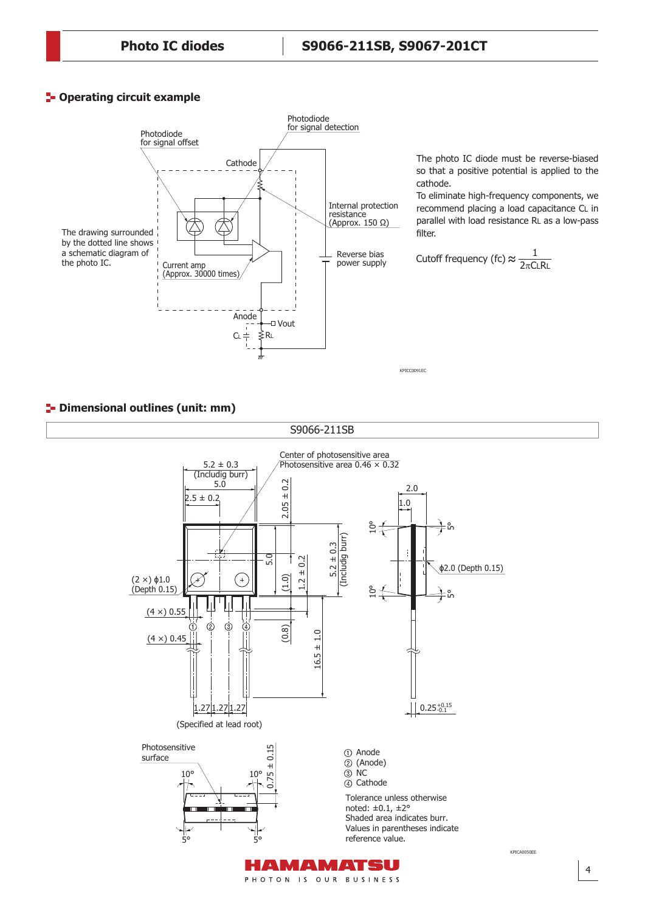# **P**-Operating circuit example



The photo IC diode must be reverse-biased so that a positive potential is applied to the cathode.

To eliminate high-frequency components, we recommend placing a load capacitance CL in parallel with load resistance RL as a low-pass .<br>filter.

Cutoff frequency (fc) 
$$
\approx \frac{1}{2\pi C L R L}
$$

KPICC0091EC

## **<sup>1</sup>** Dimensional outlines (unit: mm)

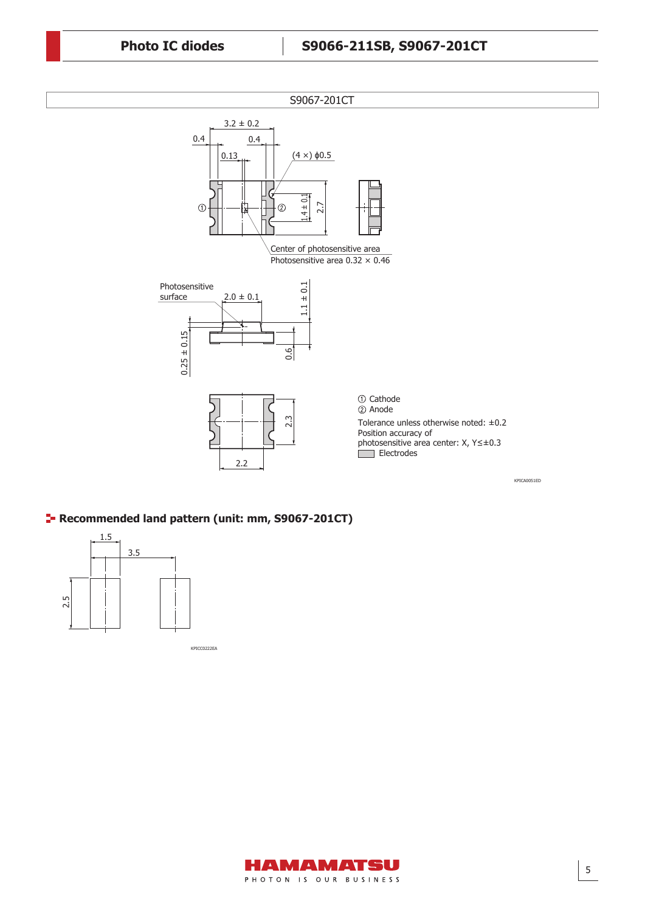

KPICA0051ED

# **Recommended land pattern (unit: mm, S9067-201CT)**



KPICC0222EA

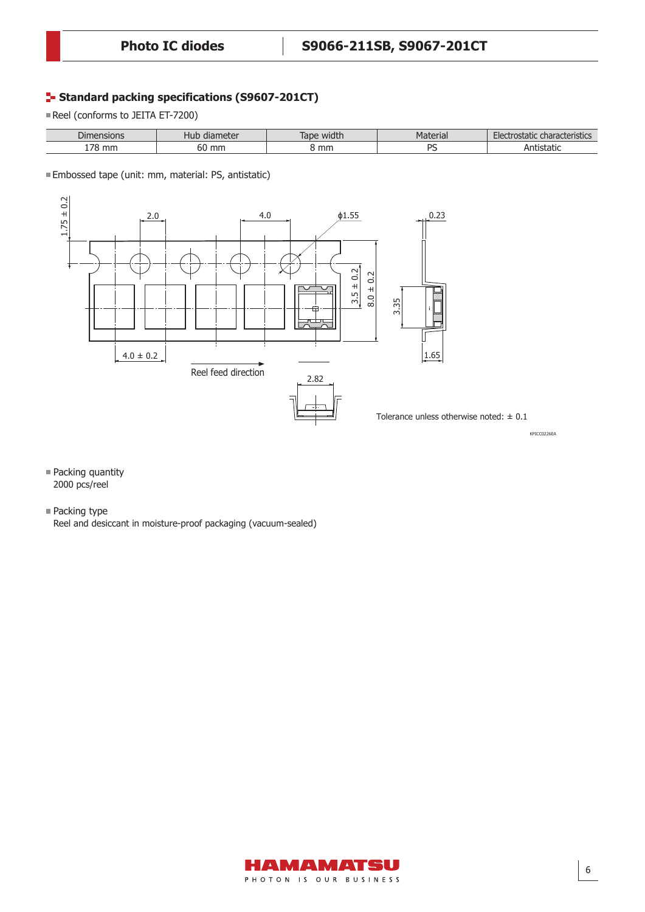# **F- Standard packing specifications (S9607-201CT)**

Reel (conforms to JEITA ET-7200)

| $\sim$<br>$\cup$ lm<br>isions | motor<br>nud<br>uidi lietei | width<br>laut | $- + - - - -$<br>a idi<br>ורי | ostatic<br>ાણાવા<br>15465 |
|-------------------------------|-----------------------------|---------------|-------------------------------|---------------------------|
| 70<br>mn                      | mm<br>bU                    | mm            | n,                            | statit.                   |

Embossed tape (unit: mm, material: PS, antistatic)



- **Packing quantity** 2000 pcs/reel
- Packing type

Reel and desiccant in moisture-proof packaging (vacuum-sealed)

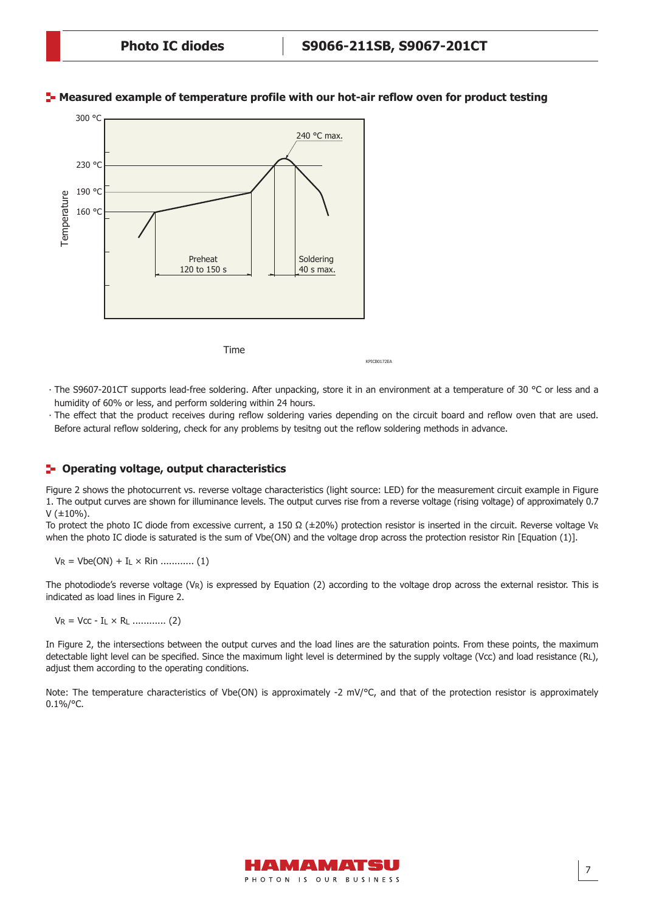

#### **Measured example of temperature profile with our hot-air reflow oven for product testing**



KPICB0172EA

∙ The S9607-201CT supports lead-free soldering. After unpacking, store it in an environment at a temperature of 30 °C or less and a humidity of 60% or less, and perform soldering within 24 hours.

∙ The effect that the product receives during reflow soldering varies depending on the circuit board and reflow oven that are used. Before actural reflow soldering, check for any problems by tesitng out the reflow soldering methods in advance.

## **Operating voltage, output characteristics**

Figure 2 shows the photocurrent vs. reverse voltage characteristics (light source: LED) for the measurement circuit example in Figure 1. The output curves are shown for illuminance levels. The output curves rise from a reverse voltage (rising voltage) of approximately 0.7  $V$  ( $\pm$ 10%).

To protect the photo IC diode from excessive current, a 150 Ω (±20%) protection resistor is inserted in the circuit. Reverse voltage VR when the photo IC diode is saturated is the sum of Vbe(ON) and the voltage drop across the protection resistor Rin [Equation (1)].

VR = Vbe(ON) + IL × Rin ............ (1)

The photodiode's reverse voltage (VR) is expressed by Equation (2) according to the voltage drop across the external resistor. This is indicated as load lines in Figure 2.

VR = Vcc - IL × RL ............ (2)

In Figure 2, the intersections between the output curves and the load lines are the saturation points. From these points, the maximum detectable light level can be specified. Since the maximum light level is determined by the supply voltage (Vcc) and load resistance (RL), adjust them according to the operating conditions.

Note: The temperature characteristics of Vbe(ON) is approximately -2 mV/°C, and that of the protection resistor is approximately  $0.1\%/°C.$ 

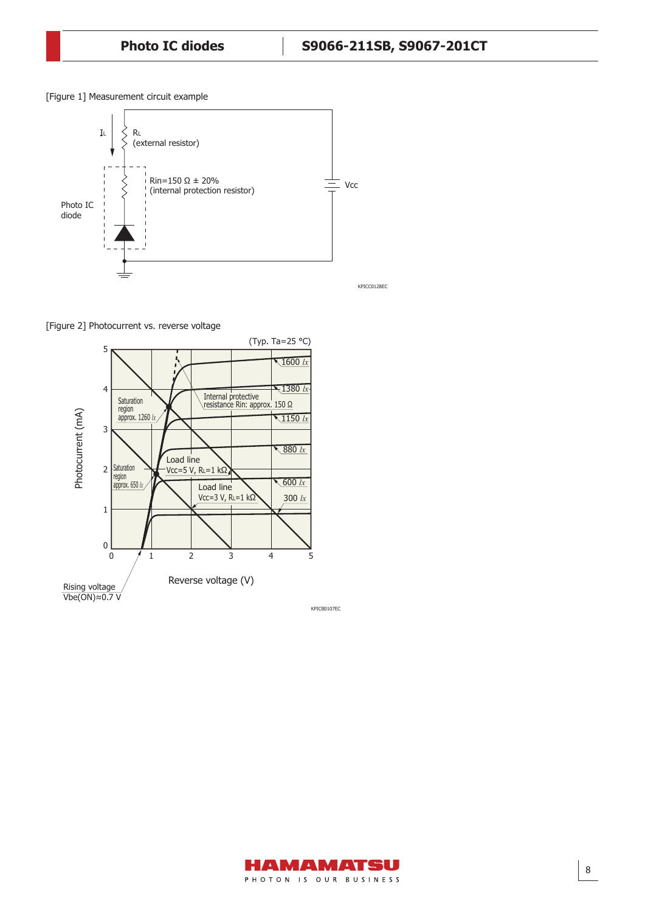[Figure 1] Measurement circuit example



[Figure 2] Photocurrent vs. reverse voltage